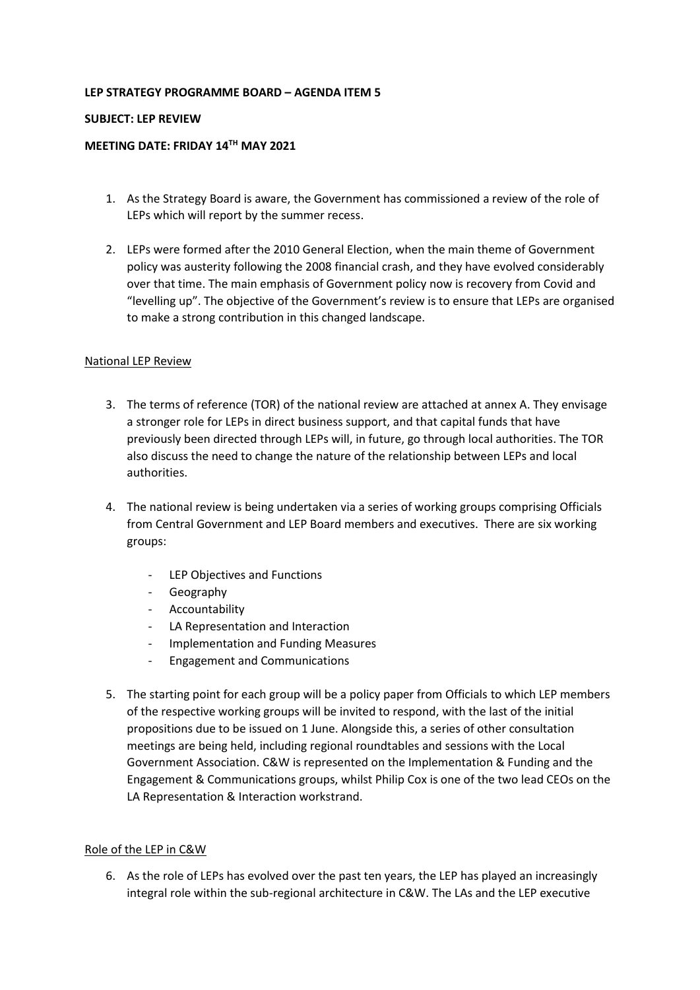### **LEP STRATEGY PROGRAMME BOARD – AGENDA ITEM 5**

#### **SUBJECT: LEP REVIEW**

#### **MEETING DATE: FRIDAY 14TH MAY 2021**

- 1. As the Strategy Board is aware, the Government has commissioned a review of the role of LEPs which will report by the summer recess.
- 2. LEPs were formed after the 2010 General Election, when the main theme of Government policy was austerity following the 2008 financial crash, and they have evolved considerably over that time. The main emphasis of Government policy now is recovery from Covid and "levelling up". The objective of the Government's review is to ensure that LEPs are organised to make a strong contribution in this changed landscape.

### National LEP Review

- 3. The terms of reference (TOR) of the national review are attached at annex A. They envisage a stronger role for LEPs in direct business support, and that capital funds that have previously been directed through LEPs will, in future, go through local authorities. The TOR also discuss the need to change the nature of the relationship between LEPs and local authorities.
- 4. The national review is being undertaken via a series of working groups comprising Officials from Central Government and LEP Board members and executives. There are six working groups:
	- LEP Objectives and Functions
	- Geography
	- Accountability
	- LA Representation and Interaction
	- Implementation and Funding Measures
	- Engagement and Communications
- 5. The starting point for each group will be a policy paper from Officials to which LEP members of the respective working groups will be invited to respond, with the last of the initial propositions due to be issued on 1 June. Alongside this, a series of other consultation meetings are being held, including regional roundtables and sessions with the Local Government Association. C&W is represented on the Implementation & Funding and the Engagement & Communications groups, whilst Philip Cox is one of the two lead CEOs on the LA Representation & Interaction workstrand.

#### Role of the LEP in C&W

6. As the role of LEPs has evolved over the past ten years, the LEP has played an increasingly integral role within the sub-regional architecture in C&W. The LAs and the LEP executive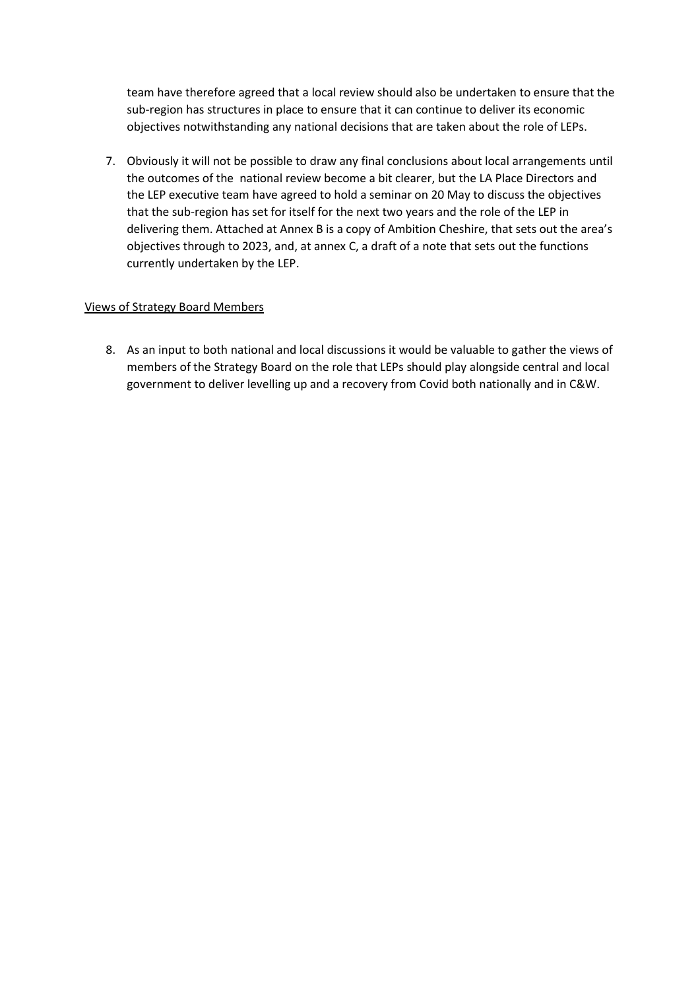team have therefore agreed that a local review should also be undertaken to ensure that the sub-region has structures in place to ensure that it can continue to deliver its economic objectives notwithstanding any national decisions that are taken about the role of LEPs.

7. Obviously it will not be possible to draw any final conclusions about local arrangements until the outcomes of the national review become a bit clearer, but the LA Place Directors and the LEP executive team have agreed to hold a seminar on 20 May to discuss the objectives that the sub-region has set for itself for the next two years and the role of the LEP in delivering them. Attached at Annex B is a copy of Ambition Cheshire, that sets out the area's objectives through to 2023, and, at annex C, a draft of a note that sets out the functions currently undertaken by the LEP.

### Views of Strategy Board Members

8. As an input to both national and local discussions it would be valuable to gather the views of members of the Strategy Board on the role that LEPs should play alongside central and local government to deliver levelling up and a recovery from Covid both nationally and in C&W.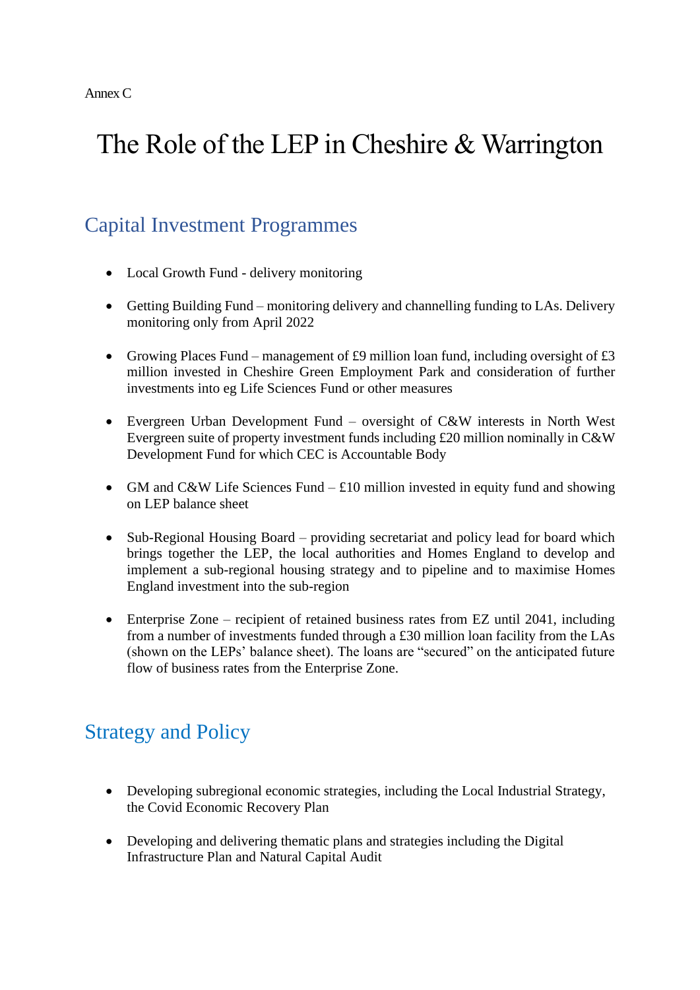# The Role of the LEP in Cheshire & Warrington

### Capital Investment Programmes

- Local Growth Fund delivery monitoring
- Getting Building Fund monitoring delivery and channelling funding to LAs. Delivery monitoring only from April 2022
- Growing Places Fund management of £9 million loan fund, including oversight of  $£3$ million invested in Cheshire Green Employment Park and consideration of further investments into eg Life Sciences Fund or other measures
- Evergreen Urban Development Fund oversight of C&W interests in North West Evergreen suite of property investment funds including £20 million nominally in C&W Development Fund for which CEC is Accountable Body
- GM and C&W Life Sciences Fund  $\text{\pounds}10$  million invested in equity fund and showing on LEP balance sheet
- Sub-Regional Housing Board providing secretariat and policy lead for board which brings together the LEP, the local authorities and Homes England to develop and implement a sub-regional housing strategy and to pipeline and to maximise Homes England investment into the sub-region
- Enterprise Zone recipient of retained business rates from EZ until 2041, including from a number of investments funded through a £30 million loan facility from the LAs (shown on the LEPs' balance sheet). The loans are "secured" on the anticipated future flow of business rates from the Enterprise Zone.

### Strategy and Policy

- Developing subregional economic strategies, including the Local Industrial Strategy, the Covid Economic Recovery Plan
- Developing and delivering thematic plans and strategies including the Digital Infrastructure Plan and Natural Capital Audit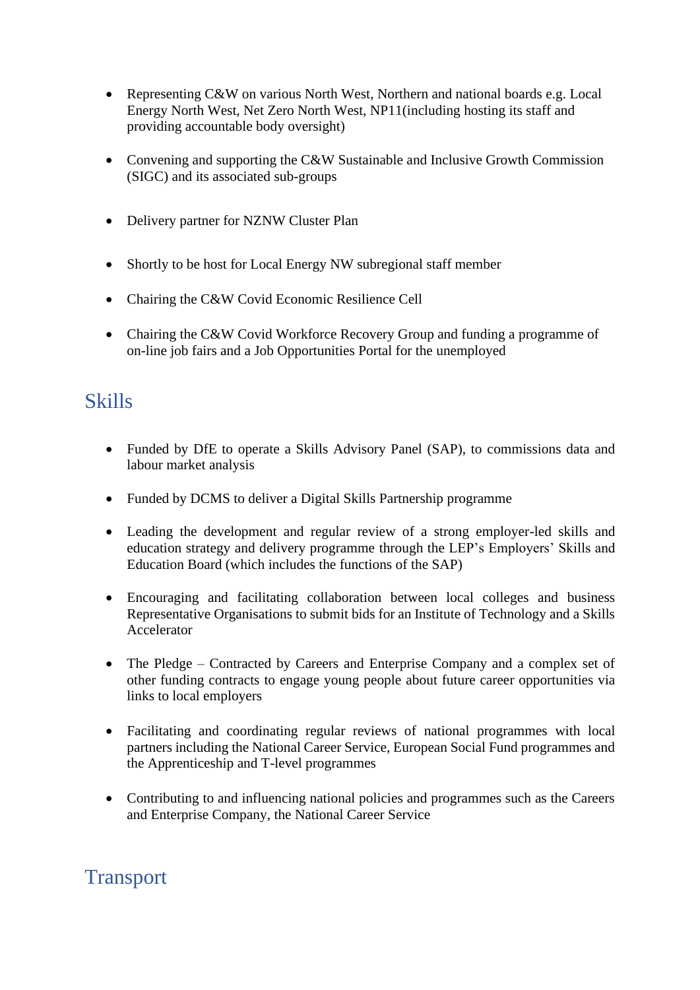- Representing C&W on various North West, Northern and national boards e.g. Local Energy North West, Net Zero North West, NP11(including hosting its staff and providing accountable body oversight)
- Convening and supporting the C&W Sustainable and Inclusive Growth Commission (SIGC) and its associated sub-groups
- Delivery partner for NZNW Cluster Plan
- Shortly to be host for Local Energy NW subregional staff member
- Chairing the C&W Covid Economic Resilience Cell
- Chairing the C&W Covid Workforce Recovery Group and funding a programme of on-line job fairs and a Job Opportunities Portal for the unemployed

### **Skills**

- Funded by DfE to operate a Skills Advisory Panel (SAP), to commissions data and labour market analysis
- Funded by DCMS to deliver a Digital Skills Partnership programme
- Leading the development and regular review of a strong employer-led skills and education strategy and delivery programme through the LEP's Employers' Skills and Education Board (which includes the functions of the SAP)
- Encouraging and facilitating collaboration between local colleges and business Representative Organisations to submit bids for an Institute of Technology and a Skills Accelerator
- The Pledge Contracted by Careers and Enterprise Company and a complex set of other funding contracts to engage young people about future career opportunities via links to local employers
- Facilitating and coordinating regular reviews of national programmes with local partners including the National Career Service, European Social Fund programmes and the Apprenticeship and T-level programmes
- Contributing to and influencing national policies and programmes such as the Careers and Enterprise Company, the National Career Service

### Transport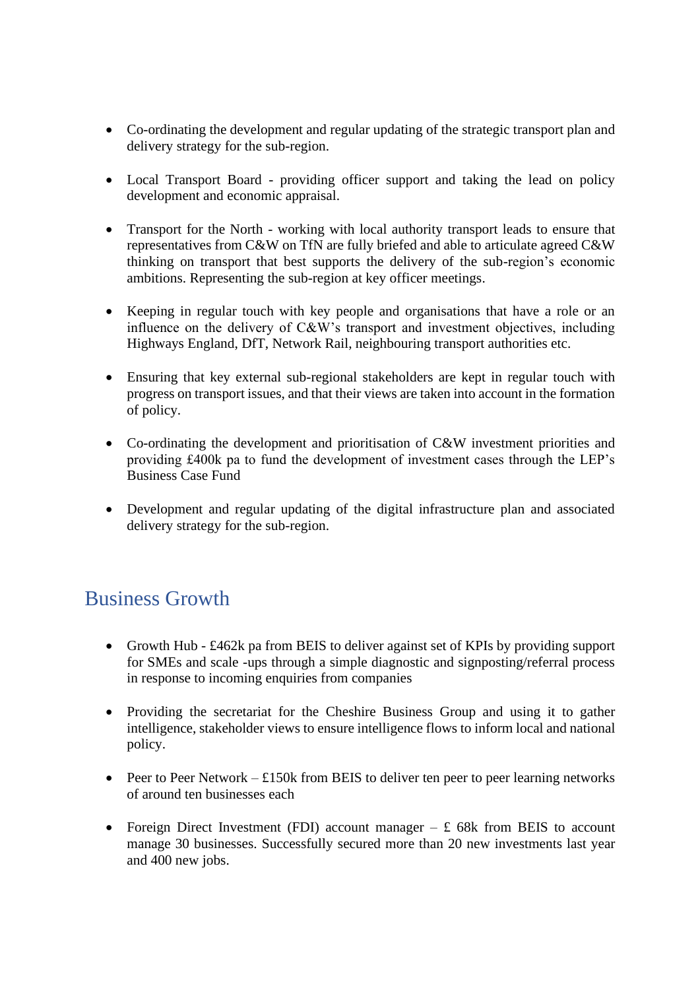- Co-ordinating the development and regular updating of the strategic transport plan and delivery strategy for the sub-region.
- Local Transport Board providing officer support and taking the lead on policy development and economic appraisal.
- Transport for the North working with local authority transport leads to ensure that representatives from C&W on TfN are fully briefed and able to articulate agreed C&W thinking on transport that best supports the delivery of the sub-region's economic ambitions. Representing the sub-region at key officer meetings.
- Keeping in regular touch with key people and organisations that have a role or an influence on the delivery of C&W's transport and investment objectives, including Highways England, DfT, Network Rail, neighbouring transport authorities etc.
- Ensuring that key external sub-regional stakeholders are kept in regular touch with progress on transport issues, and that their views are taken into account in the formation of policy.
- Co-ordinating the development and prioritisation of C&W investment priorities and providing £400k pa to fund the development of investment cases through the LEP's Business Case Fund
- Development and regular updating of the digital infrastructure plan and associated delivery strategy for the sub-region.

# Business Growth

- Growth Hub £462k pa from BEIS to deliver against set of KPIs by providing support for SMEs and scale -ups through a simple diagnostic and signposting/referral process in response to incoming enquiries from companies
- Providing the secretariat for the Cheshire Business Group and using it to gather intelligence, stakeholder views to ensure intelligence flows to inform local and national policy.
- Peer to Peer Network  $\text{\pounds}150k$  from BEIS to deliver ten peer to peer learning networks of around ten businesses each
- Foreign Direct Investment (FDI) account manager  $-$  £ 68k from BEIS to account manage 30 businesses. Successfully secured more than 20 new investments last year and 400 new jobs.